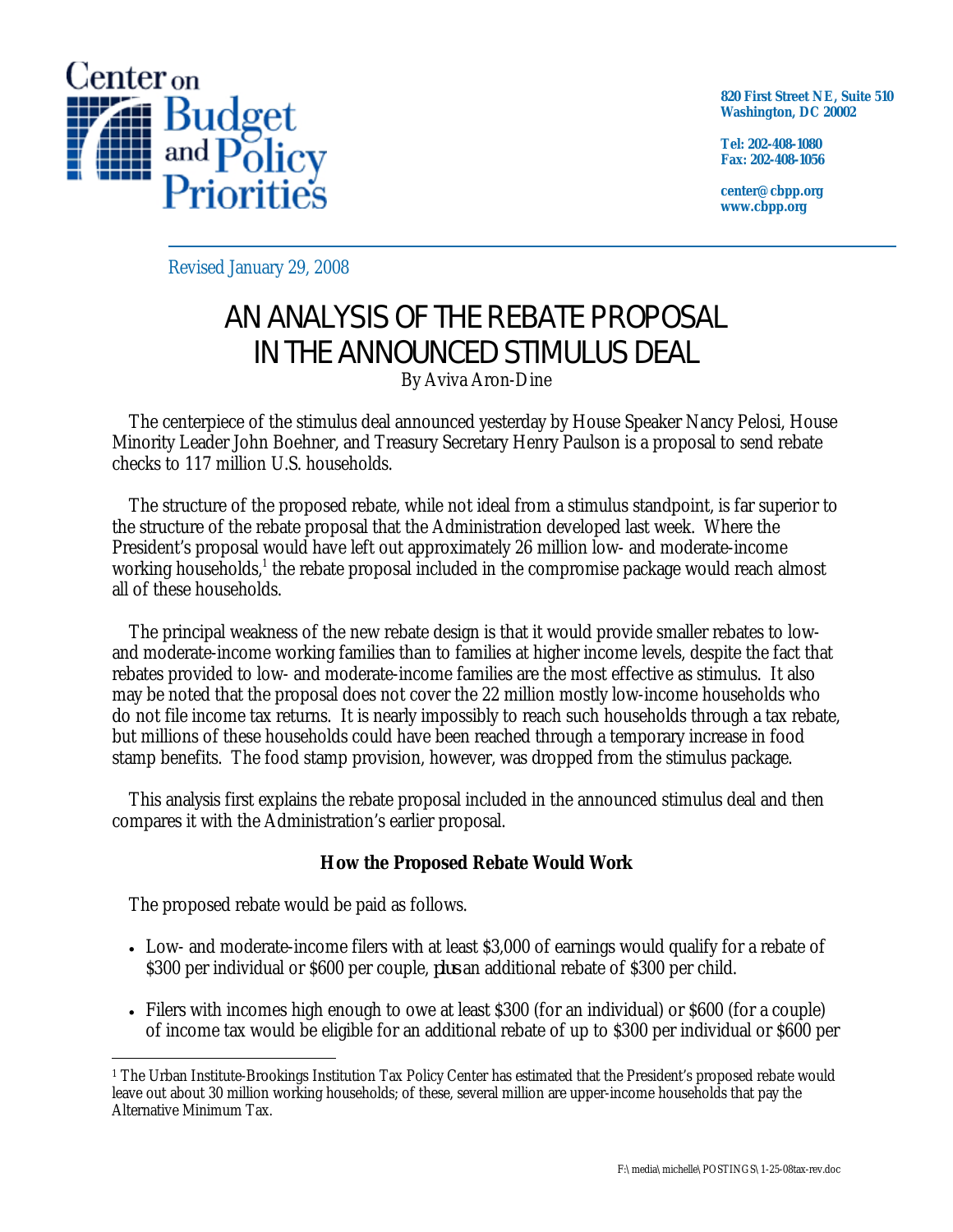

**820 First Street NE, Suite 510 Washington, DC 20002** 

**Tel: 202-408-1080 Fax: 202-408-1056** 

**center@cbpp.org www.cbpp.org** 

Revised January 29, 2008

## AN ANALYSIS OF THE REBATE PROPOSAL IN THE ANNOUNCED STIMULUS DEAL

By Aviva Aron-Dine

 The centerpiece of the stimulus deal announced yesterday by House Speaker Nancy Pelosi, House Minority Leader John Boehner, and Treasury Secretary Henry Paulson is a proposal to send rebate checks to 117 million U.S. households.

 The structure of the proposed rebate, while not ideal from a stimulus standpoint, is far superior to the structure of the rebate proposal that the Administration developed last week. Where the President's proposal would have left out approximately 26 million low- and moderate-income working households,<sup>1</sup> the rebate proposal included in the compromise package would reach almost all of these households.

 The principal weakness of the new rebate design is that it would provide smaller rebates to lowand moderate-income working families than to families at higher income levels, despite the fact that rebates provided to low- and moderate-income families are the most effective as stimulus. It also may be noted that the proposal does not cover the 22 million mostly low-income households who do not file income tax returns. It is nearly impossibly to reach such households through a tax rebate, but millions of these households could have been reached through a temporary increase in food stamp benefits. The food stamp provision, however, was dropped from the stimulus package.

 This analysis first explains the rebate proposal included in the announced stimulus deal and then compares it with the Administration's earlier proposal.

## **How the Proposed Rebate Would Work**

The proposed rebate would be paid as follows.

- Low- and moderate-income filers with at least \$3,000 of earnings would qualify for a rebate of \$300 per individual or \$600 per couple, *plus* an additional rebate of \$300 per child.
- Filers with incomes high enough to owe at least \$300 (for an individual) or \$600 (for a couple) of income tax would be eligible for an additional rebate of up to \$300 per individual or \$600 per

 $\overline{a}$ 1 The Urban Institute-Brookings Institution Tax Policy Center has estimated that the President's proposed rebate would leave out about 30 million working households; of these, several million are upper-income households that pay the Alternative Minimum Tax.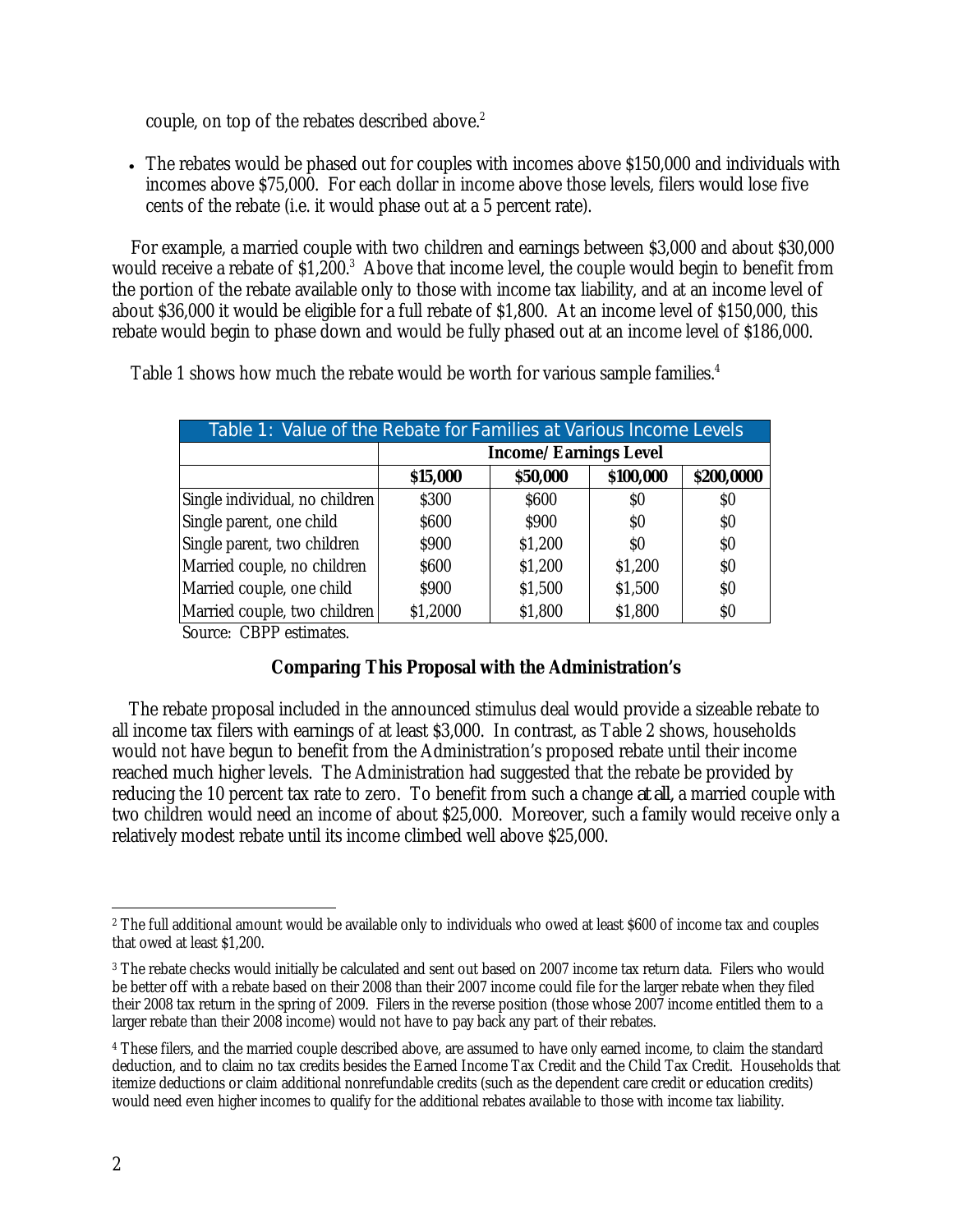couple, on top of the rebates described above.<sup>2</sup>

• The rebates would be phased out for couples with incomes above \$150,000 and individuals with incomes above \$75,000. For each dollar in income above those levels, filers would lose five cents of the rebate (i.e. it would phase out at a 5 percent rate).

For example, a married couple with two children and earnings between \$3,000 and about \$30,000 would receive a rebate of \$1,200.<sup>3</sup> Above that income level, the couple would begin to benefit from the portion of the rebate available only to those with income tax liability, and at an income level of about \$36,000 it would be eligible for a full rebate of \$1,800. At an income level of \$150,000, this rebate would begin to phase down and would be fully phased out at an income level of \$186,000.

| Table 1: Value of the Rebate for Families at Various Income Levels |                              |          |           |            |  |
|--------------------------------------------------------------------|------------------------------|----------|-----------|------------|--|
|                                                                    | <b>Income/Earnings Level</b> |          |           |            |  |
|                                                                    | \$15,000                     | \$50,000 | \$100,000 | \$200,0000 |  |
| Single individual, no children                                     | \$300                        | \$600    | \$O       | $\$0$      |  |
| Single parent, one child                                           | \$600                        | \$900    | $\$0$     | $\$0$      |  |
| Single parent, two children                                        | \$900                        | \$1,200  | \$O       | \$0\$      |  |
| Married couple, no children                                        | \$600                        | \$1,200  | \$1,200   | \$0        |  |
| Married couple, one child                                          | \$900                        | \$1,500  | \$1,500   | \$0        |  |
| Married couple, two children                                       | \$1,2000                     | \$1,800  | \$1,800   | $\$0$      |  |
| $C_{\text{oupoo}}$ CDDD $\alpha$ timates                           |                              |          |           |            |  |

Table 1 shows how much the rebate would be worth for various sample families.<sup>4</sup>

Source: CBPP estimates.

## **Comparing This Proposal with the Administration's**

 The rebate proposal included in the announced stimulus deal would provide a sizeable rebate to all income tax filers with earnings of at least \$3,000. In contrast, as Table 2 shows, households would not have begun to benefit from the Administration's proposed rebate until their income reached much higher levels. The Administration had suggested that the rebate be provided by reducing the 10 percent tax rate to zero. To benefit from such a change *at all,* a married couple with two children would need an income of about \$25,000. Moreover, such a family would receive only a relatively modest rebate until its income climbed well above \$25,000.

 $\overline{a}$ <sup>2</sup> The full additional amount would be available only to individuals who owed at least \$600 of income tax and couples that owed at least \$1,200.

<sup>3</sup> The rebate checks would initially be calculated and sent out based on 2007 income tax return data. Filers who would be better off with a rebate based on their 2008 than their 2007 income could file for the larger rebate when they filed their 2008 tax return in the spring of 2009. Filers in the reverse position (those whose 2007 income entitled them to a larger rebate than their 2008 income) would not have to pay back any part of their rebates.

<sup>4</sup> These filers, and the married couple described above, are assumed to have only earned income, to claim the standard deduction, and to claim no tax credits besides the Earned Income Tax Credit and the Child Tax Credit. Households that itemize deductions or claim additional nonrefundable credits (such as the dependent care credit or education credits) would need even higher incomes to qualify for the additional rebates available to those with income tax liability.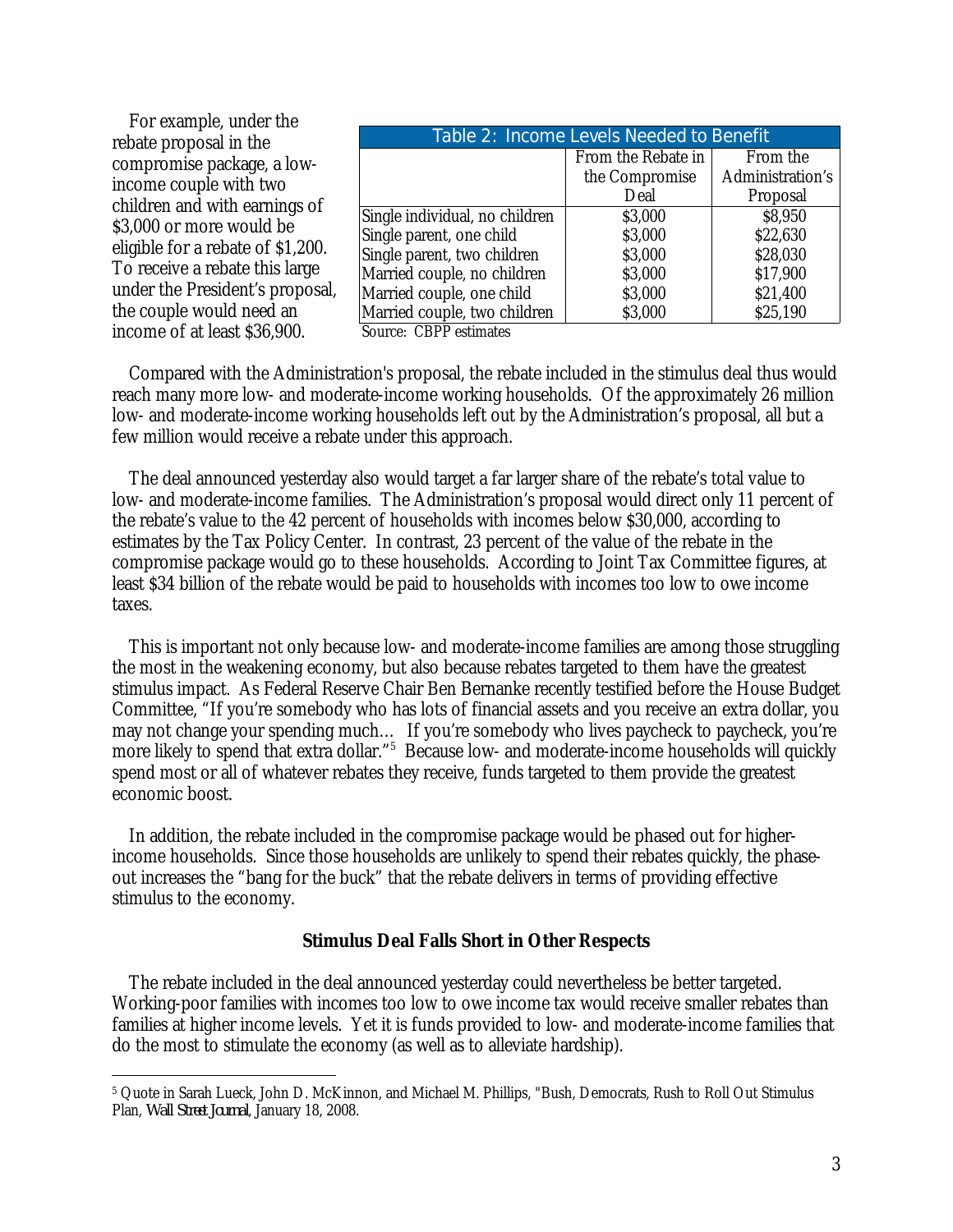| For example, under the            |                                          |                    |                  |  |  |
|-----------------------------------|------------------------------------------|--------------------|------------------|--|--|
| rebate proposal in the            | Table 2: Income Levels Needed to Benefit |                    |                  |  |  |
| compromise package, a low-        |                                          | From the Rebate in | From the         |  |  |
| income couple with two            |                                          | the Compromise     | Administration's |  |  |
|                                   |                                          | Deal               | Proposal         |  |  |
| children and with earnings of     | Single individual, no children           | \$3,000            | \$8,950          |  |  |
| \$3,000 or more would be          | Single parent, one child                 | \$3,000            | \$22,630         |  |  |
| eligible for a rebate of \$1,200. | Single parent, two children              | \$3,000            | \$28,030         |  |  |
| To receive a rebate this large    | Married couple, no children              | \$3,000            | \$17,900         |  |  |
| under the President's proposal,   | Married couple, one child                | \$3,000            | \$21,400         |  |  |
| the couple would need an          | Married couple, two children             | \$3,000            | \$25,190         |  |  |
| income of at least \$36,900.      | Source: CBPP estimates                   |                    |                  |  |  |

 Compared with the Administration's proposal, the rebate included in the stimulus deal thus would reach many more low- and moderate-income working households. Of the approximately 26 million low- and moderate-income working households left out by the Administration's proposal, all but a few million would receive a rebate under this approach.

 The deal announced yesterday also would target a far larger share of the rebate's total value to low- and moderate-income families. The Administration's proposal would direct only 11 percent of the rebate's value to the 42 percent of households with incomes below \$30,000, according to estimates by the Tax Policy Center. In contrast, 23 percent of the value of the rebate in the compromise package would go to these households. According to Joint Tax Committee figures, at least \$34 billion of the rebate would be paid to households with incomes too low to owe income taxes.

 This is important not only because low- and moderate-income families are among those struggling the most in the weakening economy, but also because rebates targeted to them have the greatest stimulus impact. As Federal Reserve Chair Ben Bernanke recently testified before the House Budget Committee, "If you're somebody who has lots of financial assets and you receive an extra dollar, you may not change your spending much… If you're somebody who lives paycheck to paycheck, you're more likely to spend that extra dollar."<sup>5</sup> Because low- and moderate-income households will quickly spend most or all of whatever rebates they receive, funds targeted to them provide the greatest economic boost.

 In addition, the rebate included in the compromise package would be phased out for higherincome households. Since those households are unlikely to spend their rebates quickly, the phaseout increases the "bang for the buck" that the rebate delivers in terms of providing effective stimulus to the economy.

## **Stimulus Deal Falls Short in Other Respects**

 The rebate included in the deal announced yesterday could nevertheless be better targeted. Working-poor families with incomes too low to owe income tax would receive smaller rebates than families at higher income levels. Yet it is funds provided to low- and moderate-income families that do the most to stimulate the economy (as well as to alleviate hardship).

-

<sup>5</sup> Quote in Sarah Lueck, John D. McKinnon, and Michael M. Phillips, "Bush, Democrats, Rush to Roll Out Stimulus Plan, *Wall Street Journal*, January 18, 2008.